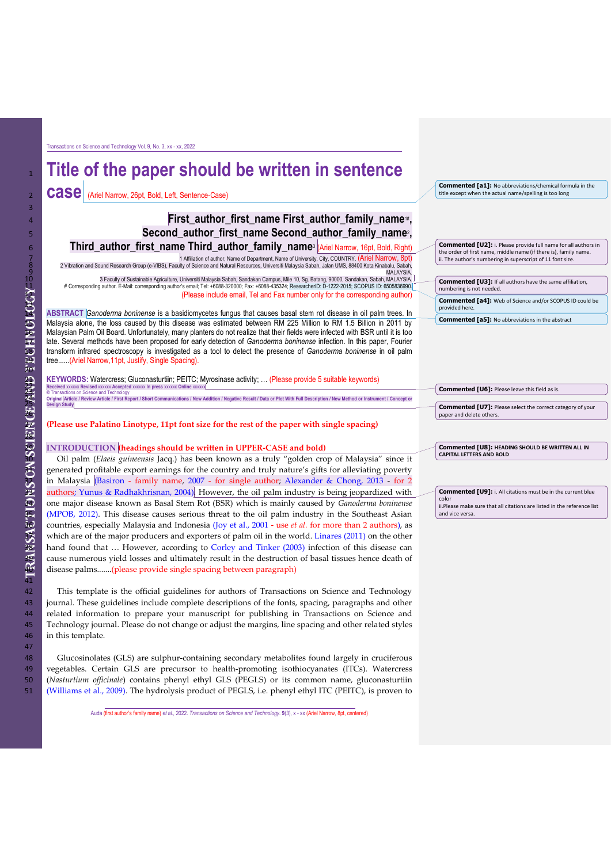Transactions on Science and Technology Vol. 9, No. 3, xx - xx, 2022

# <sup>1</sup> **Title of the paper should be written in sentence**

2 **Case** (Ariel Narrow, 26pt, Bold, Left, Sentence-Case)

## **First author first name First author family name Second author first name Second author family name<sup>2</sup> 5 <b>Second author**

**Third\_author\_first\_name Third\_author\_family\_name3 (Ariel Narrow, 16pt, Bold, Right)** 1 Affiliation of author, Name of Department, Name of University, City, COUNTRY. (Ariel Narrow, 8pt) 8 2 Vibration and Sound Research Group (e-VIBS), Faculty of Science and Natural Resources, Universiti Malaysia Sabah, Jalan UMS, 88400 Kota Kinabalu, Sabah,

9<br>3 Taculty of Sustainable Agriculture, Universiti Malaysia Sabah, Sandakan Campus, Mile 10, Sg. Batang, 90000, Sandakan, Sabah, MALAYSIA<br>4 Corresponding author. E-Mail: corresponding author's email; Tel: +6088-320000; Fa

(Please include email, Tel and Fax number only for the corresponding author)

14 **ABSTRACT** *Ganoderma boninense* is a basidiomycetes fungus that causes basal stem rot disease in oil palm trees. In Malaysia alone, the loss caused by this disease was estimated between RM 225 Million to RM 1.5 Billion in 2011 by 16 Malaysian Palm Oil Board. Unfortunately, many planters do not realize that their fields were infected with BSR until it is too late. Several methods have been proposed for early detection of *Ganoderma boninense* infection. In this paper, Fourier 18 transform infrared spectroscopy is investigated as a tool to detect the presence of *Ganoderma boninense* in oil palm tree......(Ariel Narrow,11pt, Justify, Single Spacing).

21 **KEYWORDS:** Watercress; Gluconasturtiin; PEITC; Myrosinase activity; … (Please provide 5 suitable keywords) 22 **Received** xxxxxx **Revised** xxxxxx **Accepted** xxxxxx **In press** xxxxxx **Online** xxxxxx O Transactions on Science and Technology<br>24. Original Article / Review Article / First Report / Short Communications / New Addition / Negative Result / Data or Plot With Full Description / New Method or Instrument / Concep

27 **(Please use Palatino Linotype, 11pt font size for the rest of the paper with single spacing)**

#### 29 **INTRODUCTION (headings should be written in UPPER-CASE and bold)**

30 Oil palm (*Elaeis guineensis* Jacq.) has been known as a truly "golden crop of Malaysia" since it generated profitable export earnings for the country and truly nature's gifts for alleviating poverty in Malaysia (Basiron - family name, 2007 - for single author; Alexander & Chong, 2013 - for 2 authors; Yunus & Radhakhrisnan, 2004). However, the oil palm industry is being jeopardized with 34 one major disease known as Basal Stem Rot (BSR) which is mainly caused by *Ganoderma boninense*  (MPOB, 2012). This disease causes serious threat to the oil palm industry in the Southeast Asian countries, especially Malaysia and Indonesia (Joy et al., 2001 - use *et al.* for more than 2 authors), as which are of the major producers and exporters of palm oil in the world. Linares (2011) on the other hand found that ... However, according to Corley and Tinker (2003) infection of this disease can cause numerous yield losses and ultimately result in the destruction of basal tissues hence death of disease palms.......(please provide single spacing between paragraph)

42 This template is the official guidelines for authors of Transactions on Science and Technology<br>iournal These guidelines include complete descriptions of the fonts spacing paragraphs and other journal. These guidelines include complete descriptions of the fonts, spacing, paragraphs and other 44 related information to prepare your manuscript for publishing in Transactions on Science and 45 Technology journal. Please do not change or adjust the margins, line spacing and other related styles 46 in this template.

 Glucosinolates (GLS) are sulphur-containing secondary metabolites found largely in cruciferous vegetables. Certain GLS are precursor to health-promoting isothiocyanates (ITCs). Watercress (*Nasturtium officinale*) contains phenyl ethyl GLS (PEGLS) or its common name, gluconasturtiin (Williams et al., 2009). The hydrolysis product of PEGLS, i.e. phenyl ethyl ITC (PEITC), is proven to

Auda (first author's family name) *et al.*, 2022. *Transactions on Science and Technology.* **9**(3), x - xx (Ariel Narrow, 8pt, centered)

**Commented [a1]:** No abbreviations/chemical formula in the title except when the actual name/spelling is too long

**Commented [U2]:** i. Please provide full name for all authors in the order of first name, middle name (if there is), family name. ii. The author's numbering in superscript of 11 font size.

**Commented [U3]:** If all authors have the same affiliation, numbering is not needed. **Commented [a4]:** Web of Science and/or SCOPUS ID could be provided here.

**Commented [a5]:** No abbreviations in the abstract

| <b>Commented [U6]:</b> Please leave this field as is. |  |
|-------------------------------------------------------|--|
|                                                       |  |

**Commented [U7]:** Please select the correct category of your paper and delete oth

**Commented [U8]: HEADING SHOULD BE WRITTEN ALL IN CAPITAL LETTERS AND BOLD**

**Commented [U9]:** i. All citations must be in the current blue color ii.Please make sure that all citations are listed in the reference list and vice versa.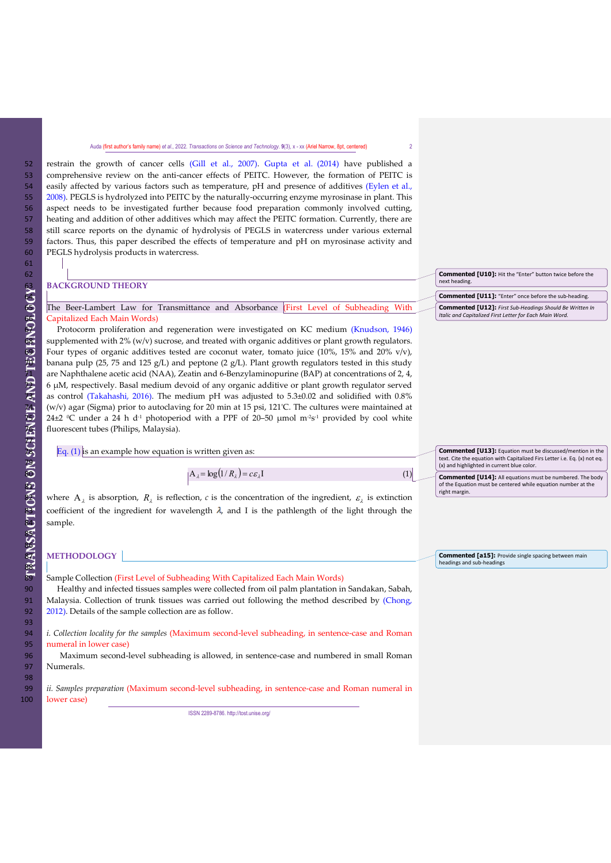restrain the growth of cancer cells (Gill et al., 2007). Gupta et al. (2014) have published a comprehensive review on the anti-cancer effects of PEITC. However, the formation of PEITC is easily affected by various factors such as temperature, pH and presence of additives (Eylen et al., 2008). PEGLS is hydrolyzed into PEITC by the naturally-occurring enzyme myrosinase in plant. This aspect needs to be investigated further because food preparation commonly involved cutting, heating and addition of other additives which may affect the PEITC formation. Currently, there are still scarce reports on the dynamic of hydrolysis of PEGLS in watercress under various external factors. Thus, this paper described the effects of temperature and pH on myrosinase activity and PEGLS hydrolysis products in watercress.

|   |                                                                                         | <b>Commented [U10]:</b> Hit the "Enter" button twice before the |
|---|-----------------------------------------------------------------------------------------|-----------------------------------------------------------------|
|   | <b>BACKGROUND THEORY</b>                                                                | next heading.                                                   |
|   |                                                                                         | <b>Commented [U11]:</b> "Enter" once before the sub-heading.    |
|   | The Beer-Lambert Law for Transmittance and Absorbance First Level of Subheading With    | <b>Commented [U12]:</b> First Sub-Headings Should Be Written In |
| æ | Capitalized Each Main Words)                                                            | Italic and Capitalized First Letter for Each Main Word.         |
| Ξ | Protocorm proliferation and regeneration were investigated on KC medium (Knudson, 1946) |                                                                 |

68 supplemented with 2% (w/v) sucrose, and treated with organic additives or plant growth regulators. Four types of organic additives tested are coconut water, tomato juice (10%, 15% and 20% v/v), banana pulp (25, 75 and 125  $g/L$ ) and peptone (2  $g/L$ ). Plant growth regulators tested in this study are Naphthalene acetic acid (NAA), Zeatin and 6-Benzylaminopurine (BAP) at concentrations of 2, 4, 72 6 µM, respectively. Basal medium devoid of any organic additive or plant growth regulator served as control (Takahashi, 2016). The medium pH was adjusted to 5.3±0.02 and solidified with 0.8% (w/v) agar (Sigma) prior to autoclaving for 20 min at 15 psi,  $121^{\circ}$ C. The cultures were maintained at 24±2  $°C$  under a 24 h d<sup>-1</sup> photoperiod with a PPF of 20-50 µmol m<sup>-2</sup>s<sup>-1</sup> provided by cool white fluorescent tubes (Philips, Malaysia).

|              | Eq. $(1)$ is an example how equation is written given as: | <b>Commented [U13]:</b> Equation must be discussed/mention in the                                                       |
|--------------|-----------------------------------------------------------|-------------------------------------------------------------------------------------------------------------------------|
| $\mathbf{z}$ |                                                           | text. Cite the equation with Capitalized Firs Letter i.e. Eq. (x) not eq.<br>(x) and highlighted in current blue color. |
| $\Omega$     | $A_i = \log(1/R_i) = c\epsilon_i I$                       | <b>Commented [U14]:</b> All equations must be numbered. The body                                                        |
| S.           |                                                           | of the Equation must be centered while equation number at the                                                           |

Where  $A_{\lambda}$  is absorption,  $R_{\lambda}$  is reflection, *c* is the concentration of the ingredient,  $\varepsilon_{\lambda}$  is extinction coefficient of the ingredient for wavelength  $\lambda$ , and I is the pathlength of the light through the sample.

#### 87 **METHODOLOGY**

.<br>Sample Collection (First Level of Subheading With Capitalized Each Main Words)

90 Healthy and infected tissues samples were collected from oil palm plantation in Sandakan, Sabah,<br>91 Malaysia. Collection of trunk tissues was carried out following the method described by (Chong, 91 Malaysia. Collection of trunk tissues was carried out following the method described by (Chong, 2012). Details of the sample collection are as follow. 2012). Details of the sample collection are as follow.

94 *i. Collection locality for the samples* (Maximum second-level subheading, in sentence-case and Roman 95 numeral in lower case)

96 Maximum second-level subheading is allowed, in sentence-case and numbered in small Roman 97 Numerals.

99 *ii. Samples preparation* (Maximum second-level subheading, in sentence-case and Roman numeral in 100 lower case)

ISSN 2289-8786[. http://tost.unise.org/](http://tost.unise.org/)

 $\mathbb{R}$ 

right margin.

headings and sub-heading

**Commented [a15]:** Provide single spacing between main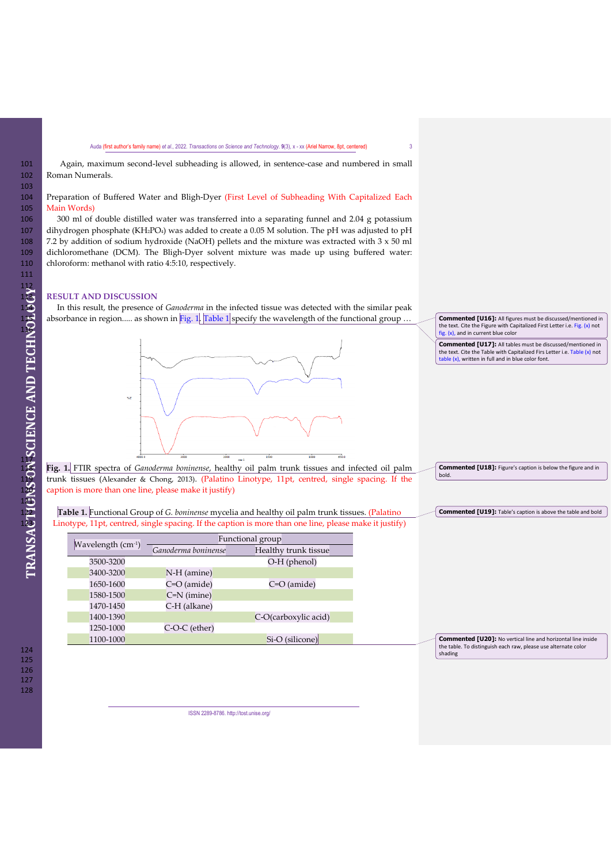101 Again, maximum second-level subheading is allowed, in sentence-case and numbered in small 102 Roman Numerals.

### 104 Preparation of Buffered Water and Bligh-Dyer (First Level of Subheading With Capitalized Each 105 Main Words)

106 300 ml of double distilled water was transferred into a separating funnel and 2.04 g potassium<br>107 dihydrogen phosphate (KH2PO4) was added to create a 0.05 M solution. The pH was adjusted to pH dihydrogen phosphate (KH<sub>2</sub>PO<sub>4</sub>) was added to create a 0.05 M solution. The pH was adjusted to pH 108 7.2 by addition of sodium hydroxide (NaOH) pellets and the mixture was extracted with  $3 \times 50$  ml dichloromethane (DCM). The Bligh-Dyer solvent mixture was made up using buffered water: 109 dichloromethane (DCM). The Bligh-Dyer solvent mixture was made up using buffered water: chloroform: methanol with ratio 4:5:10, respectively.

### 113 **RESULT AND DISCUSSION**

114 In this result, the presence of *Ganoderma* in the infected tissue was detected with the similar peak absorbance in region..... as shown in Fig. 1. Table 1 specify the wavelength of the functional group ..



**Commented [U16]:** All figures must be discussed/mentioned in the text. Cite the Figure with Capitalized First Letter i.e. Fig. (x) not fig. (x), and in current blue color

**Commented [U17]:** All tables must be discussed/mentioned in the text. Cite the Table with Capitalized Firs Letter i.e. Table (x) not table (x), written in full and in blue color font.

**Commented [U18]:** Figure's caption is below the figure and in bold.

118 **Fig. 1.** FTIR spectra of *Ganoderma boninense*, healthy oil palm trunk tissues and infected oil palm 119 trunk tissues (Alexander & Chong, 2013). (Palatino Linotype, 11pt, centred, single spacing. If the caption is more than one line, please make it justify)

122 **Table 1.** Functional Group of *G. boninense* mycelia and healthy oil palm trunk tissues. (Palatino Linotype, 11pt, centred, single spacing. If the caption is more than one line, please make it justify)

|                     |                     | Functional group     |
|---------------------|---------------------|----------------------|
| Wavelength $(cm-1)$ | Ganoderma boninense | Healthy trunk tissue |
| 3500-3200           |                     | $O-H$ (phenol)       |
| 3400-3200           | N-H (amine)         |                      |
| 1650-1600           | C=O (amide)         | C=O (amide)          |
| 1580-1500           | $C=N$ (imine)       |                      |
| 1470-1450           | C-H (alkane)        |                      |
| 1400-1390           |                     | C-O(carboxylic acid) |
| 1250-1000           | C-O-C (ether)       |                      |
| 1100-1000           |                     | Si-O (silicone)      |

**Commented [U19]:** Table's caption is above the table and bold

**Commented [U20]:** No vertical line and horizontal line inside the table. To distinguish each raw, please use alternate color shading

126 127 128

124 125

ISSN 2289-8786[. http://tost.unise.org/](http://tost.unise.org/)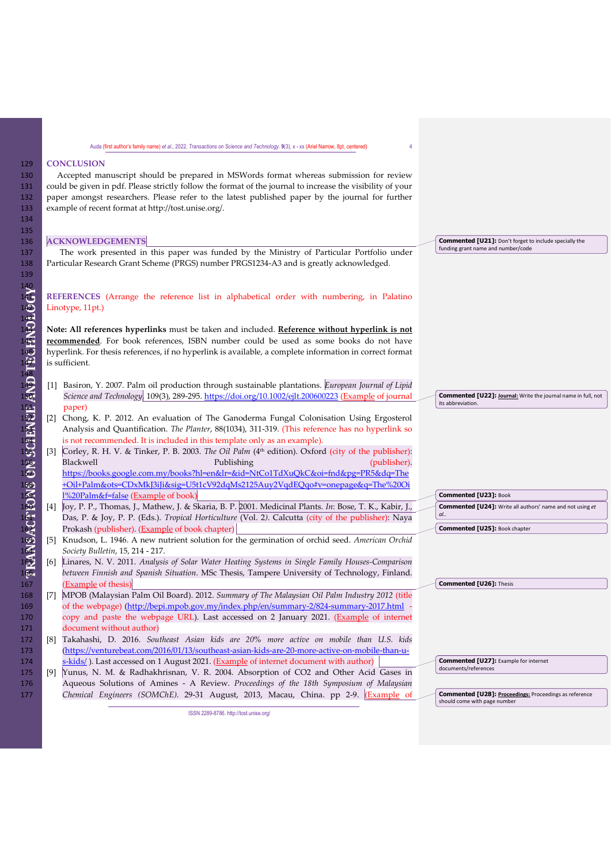#### 129 **CONCLUSION**

130 Accepted manuscript should be prepared in MSWords format whereas submission for review 131 could be given in pdf. Please strictly follow the format of the journal to increase the visibility of your<br>132 paper amongst researchers. Please refer to the latest published paper by the journal for further 132 paper amongst researchers. Please refer to the latest published paper by the journal for further example of recent format at http://tost.unise.org/. example of recent format at http://tost.unise.org/.

| 136                                     |                   | <b>ACKNOWLEDGEMENTS</b>                                                                                  | <b>Commented [U21]:</b> Don't forget to include specially the          |
|-----------------------------------------|-------------------|----------------------------------------------------------------------------------------------------------|------------------------------------------------------------------------|
| 137                                     |                   | The work presented in this paper was funded by the Ministry of Particular Portfolio under                | funding grant name and number/code                                     |
| 138                                     |                   | Particular Research Grant Scheme (PRGS) number PRGS1234-A3 and is greatly acknowledged.                  |                                                                        |
| 139                                     |                   |                                                                                                          |                                                                        |
|                                         |                   |                                                                                                          |                                                                        |
|                                         |                   | REFERENCES (Arrange the reference list in alphabetical order with numbering, in Palatino                 |                                                                        |
|                                         |                   | Linotype, 11pt.)                                                                                         |                                                                        |
|                                         |                   |                                                                                                          |                                                                        |
|                                         |                   | Note: All references hyperlinks must be taken and included. Reference without hyperlink is not           |                                                                        |
|                                         |                   | recommended. For book references, ISBN number could be used as some books do not have                    |                                                                        |
|                                         |                   | hyperlink. For thesis references, if no hyperlink is available, a complete information in correct format |                                                                        |
|                                         |                   | is sufficient.                                                                                           |                                                                        |
|                                         |                   |                                                                                                          |                                                                        |
|                                         |                   | Basiron, Y. 2007. Palm oil production through sustainable plantations. European Journal of Lipid         |                                                                        |
|                                         |                   | Science and Technology, 109(3), 289-295. https://doi.org/10.1002/ejlt.200600223 (Example of journal      | Commented [U22]: Journal: Write the journal name in full, not          |
|                                         |                   | paper)                                                                                                   | its abbreviation.                                                      |
|                                         | $\lceil 2 \rceil$ | Chong, K. P. 2012. An evaluation of The Ganoderma Fungal Colonisation Using Ergosterol                   |                                                                        |
|                                         |                   | Analysis and Quantification. The Planter, 88(1034), 311-319. (This reference has no hyperlink so         |                                                                        |
|                                         |                   | is not recommended. It is included in this template only as an example).                                 |                                                                        |
|                                         | $\lceil 3 \rceil$ | Corley, R. H. V. & Tinker, P. B. 2003. The Oil Palm (4th edition). Oxford (city of the publisher):       |                                                                        |
|                                         |                   | Blackwell<br>(publisher).<br>Publishing                                                                  |                                                                        |
|                                         |                   | https://books.google.com.my/books?hl=en&lr=&id=NtCo1TdXuQkC&oi=fnd&pg=PR5&dq=The                         |                                                                        |
|                                         |                   | +Oil+Palm&ots=CDxMkJ3iJi&sig=U5t1cV92dqMs2125Auy2VqdEQqo#v=onepage&q=The%20Oi                            |                                                                        |
|                                         |                   | 1%20Palm&f=false (Example of book)                                                                       | Commented [U23]: Book                                                  |
|                                         | $[4]$             | Joy, P. P., Thomas, J., Mathew, J. & Skaria, B. P. 2001. Medicinal Plants. In: Bose, T. K., Kabir, J.,   | <b>Commented [U24]:</b> Write all authors' name and not using et<br>al |
|                                         |                   | Das, P. & Joy, P. P. (Eds.). Tropical Horticulture (Vol. 2). Calcutta (city of the publisher): Naya      |                                                                        |
|                                         |                   | Prokash (publisher). (Example of book chapter)                                                           | Commented [U25]: Book chapter                                          |
| FRANSACTRONS ON SCIENCE ANDETECTIVOLOGY | $[5]$             | Knudson, L. 1946. A new nutrient solution for the germination of orchid seed. American Orchid            |                                                                        |
|                                         |                   | Society Bulletin, 15, 214 - 217.                                                                         |                                                                        |
|                                         | [6]               | Linares, N. V. 2011. Analysis of Solar Water Heating Systems in Single Family Houses-Comparison          |                                                                        |
|                                         |                   | between Finnish and Spanish Situation. MSc Thesis, Tampere University of Technology, Finland.            |                                                                        |
| 167                                     |                   | (Example of thesis)<br>$r = \frac{1}{2}$                                                                 | Commented [U26]: Thesis                                                |

168 [7] MPOB (Malaysian Palm Oil Board). 2012. *Summary of The Malaysian Oil Palm Industry 2012* (title 169 of the webpage) [\(http://bepi.mpob.gov.my/index.php/en/summary-2/824-summary-2017.html](http://bepi.mpob.gov.my/index.php/en/summary-2/824-summary-2017.html) -<br>170 opy and paste the webpage URL). Last accessed on 2 January 2021. (Example of internet 170 copy and paste the webpage URL). Last accessed on 2 January 2021. (Example of internet 171 document without author) 171 document without author)<br>172 [8] Takahashi, D. 2016. Sou

- 172 [8] Takahashi, D. 2016. *Southeast Asian kids are 20% more active on mobile than U.S. kids* 173 (https://venturebeat.com/2016/01/13/southeast-asian-kids-are-20-more-active-on-mobile-than-u-<br>174 s-kids/). Last accessed on 1 August 2021. (Example of internet document with author)  $\frac{1}{12}$ -kids/ ). Last accessed on 1 August 2021. (Example of internet document with author)
- 175 [9] Yunus, N. M. & Radhakhrisnan, V. R. 2004. Absorption of CO2 and Other Acid Gases in Aqueous Solutions of Amines A Review. Proceedings of the 18th Symposium of Malaysian 176 Aqueous Solutions of Amines - A Review. *Proceedings of the 18th Symposium of Malaysian*  177 *Chemical Engineers (SOMChE)*. 29-31 August, 2013, Macau, China. pp 2-9. (Example of

ISSN 2289-8786[. http://tost.unise.org/](http://tost.unise.org/)

documents/references

**Commented [U27]:** Example for internet

**Commented [U28]: Proceedings:** Proceedings as reference should come with page number